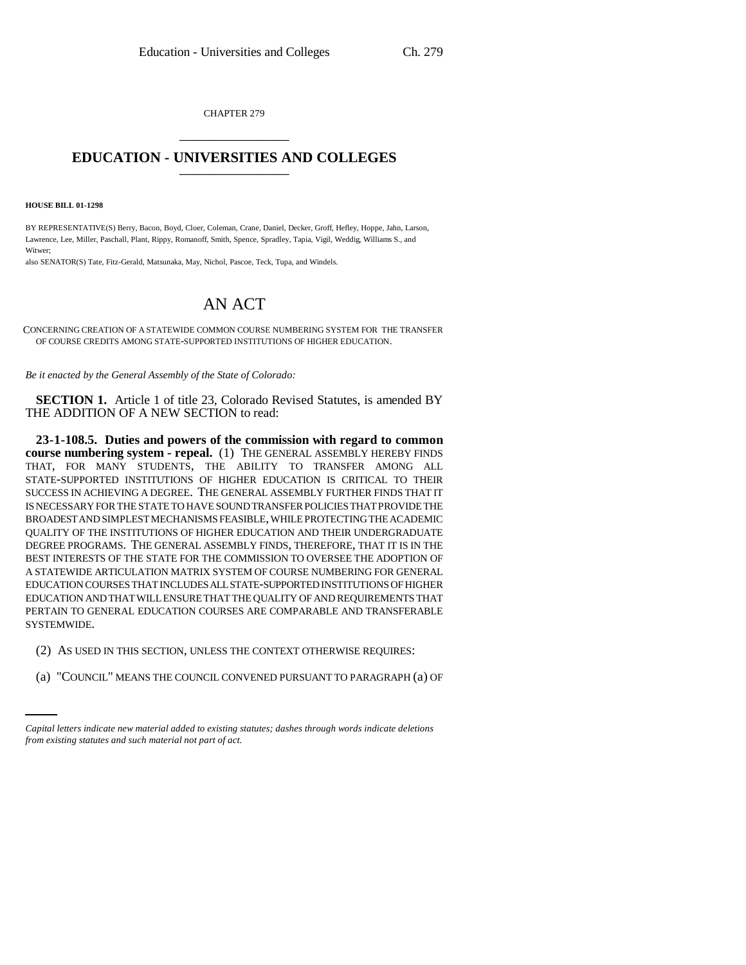CHAPTER 279 \_\_\_\_\_\_\_\_\_\_\_\_\_\_\_

## **EDUCATION - UNIVERSITIES AND COLLEGES** \_\_\_\_\_\_\_\_\_\_\_\_\_\_\_

**HOUSE BILL 01-1298**

BY REPRESENTATIVE(S) Berry, Bacon, Boyd, Cloer, Coleman, Crane, Daniel, Decker, Groff, Hefley, Hoppe, Jahn, Larson, Lawrence, Lee, Miller, Paschall, Plant, Rippy, Romanoff, Smith, Spence, Spradley, Tapia, Vigil, Weddig, Williams S., and Witwer;

also SENATOR(S) Tate, Fitz-Gerald, Matsunaka, May, Nichol, Pascoe, Teck, Tupa, and Windels.

## AN ACT

CONCERNING CREATION OF A STATEWIDE COMMON COURSE NUMBERING SYSTEM FOR THE TRANSFER OF COURSE CREDITS AMONG STATE-SUPPORTED INSTITUTIONS OF HIGHER EDUCATION.

*Be it enacted by the General Assembly of the State of Colorado:*

**SECTION 1.** Article 1 of title 23, Colorado Revised Statutes, is amended BY THE ADDITION OF A NEW SECTION to read:

**23-1-108.5. Duties and powers of the commission with regard to common course numbering system - repeal.** (1) THE GENERAL ASSEMBLY HEREBY FINDS THAT, FOR MANY STUDENTS, THE ABILITY TO TRANSFER AMONG ALL STATE-SUPPORTED INSTITUTIONS OF HIGHER EDUCATION IS CRITICAL TO THEIR SUCCESS IN ACHIEVING A DEGREE. THE GENERAL ASSEMBLY FURTHER FINDS THAT IT IS NECESSARY FOR THE STATE TO HAVE SOUND TRANSFER POLICIES THAT PROVIDE THE BROADEST AND SIMPLEST MECHANISMS FEASIBLE, WHILE PROTECTING THE ACADEMIC QUALITY OF THE INSTITUTIONS OF HIGHER EDUCATION AND THEIR UNDERGRADUATE DEGREE PROGRAMS. THE GENERAL ASSEMBLY FINDS, THEREFORE, THAT IT IS IN THE BEST INTERESTS OF THE STATE FOR THE COMMISSION TO OVERSEE THE ADOPTION OF A STATEWIDE ARTICULATION MATRIX SYSTEM OF COURSE NUMBERING FOR GENERAL EDUCATION COURSES THAT INCLUDES ALL STATE-SUPPORTED INSTITUTIONS OF HIGHER EDUCATION AND THAT WILL ENSURE THAT THE QUALITY OF AND REQUIREMENTS THAT PERTAIN TO GENERAL EDUCATION COURSES ARE COMPARABLE AND TRANSFERABLE SYSTEMWIDE.

- (2) AS USED IN THIS SECTION, UNLESS THE CONTEXT OTHERWISE REQUIRES:
	- (a) "COUNCIL" MEANS THE COUNCIL CONVENED PURSUANT TO PARAGRAPH (a) OF

*Capital letters indicate new material added to existing statutes; dashes through words indicate deletions from existing statutes and such material not part of act.*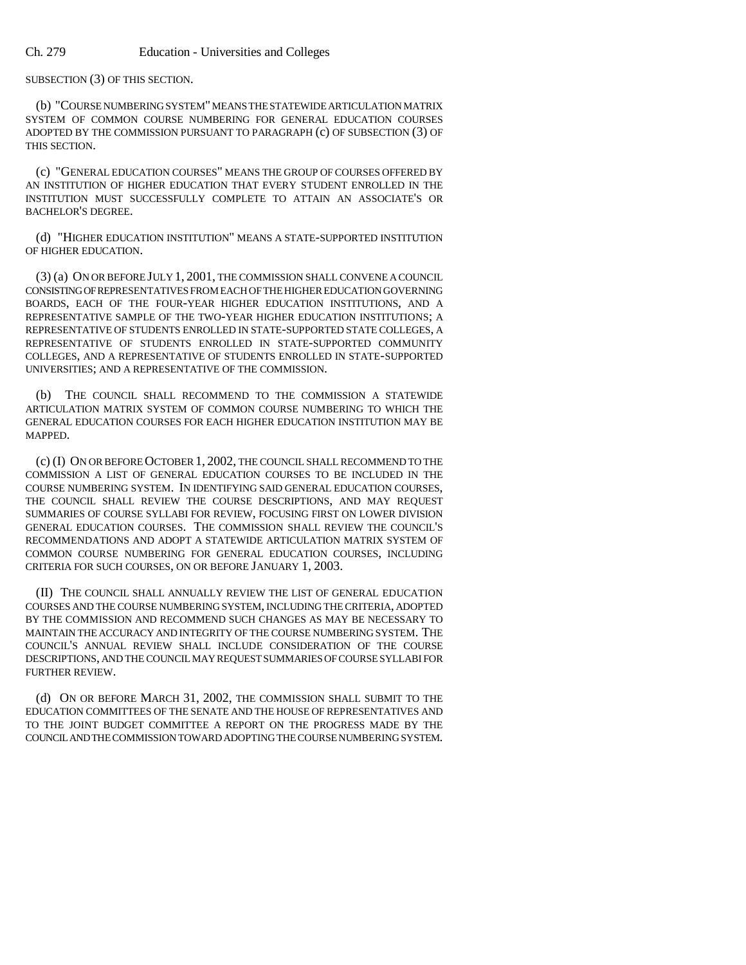SUBSECTION (3) OF THIS SECTION.

(b) "COURSE NUMBERING SYSTEM" MEANS THE STATEWIDE ARTICULATION MATRIX SYSTEM OF COMMON COURSE NUMBERING FOR GENERAL EDUCATION COURSES ADOPTED BY THE COMMISSION PURSUANT TO PARAGRAPH (c) OF SUBSECTION (3) OF THIS SECTION.

(c) "GENERAL EDUCATION COURSES" MEANS THE GROUP OF COURSES OFFERED BY AN INSTITUTION OF HIGHER EDUCATION THAT EVERY STUDENT ENROLLED IN THE INSTITUTION MUST SUCCESSFULLY COMPLETE TO ATTAIN AN ASSOCIATE'S OR BACHELOR'S DEGREE.

(d) "HIGHER EDUCATION INSTITUTION" MEANS A STATE-SUPPORTED INSTITUTION OF HIGHER EDUCATION.

(3) (a) ON OR BEFORE JULY 1, 2001, THE COMMISSION SHALL CONVENE A COUNCIL CONSISTING OF REPRESENTATIVES FROM EACH OF THE HIGHER EDUCATION GOVERNING BOARDS, EACH OF THE FOUR-YEAR HIGHER EDUCATION INSTITUTIONS, AND A REPRESENTATIVE SAMPLE OF THE TWO-YEAR HIGHER EDUCATION INSTITUTIONS; A REPRESENTATIVE OF STUDENTS ENROLLED IN STATE-SUPPORTED STATE COLLEGES, A REPRESENTATIVE OF STUDENTS ENROLLED IN STATE-SUPPORTED COMMUNITY COLLEGES, AND A REPRESENTATIVE OF STUDENTS ENROLLED IN STATE-SUPPORTED UNIVERSITIES; AND A REPRESENTATIVE OF THE COMMISSION.

(b) THE COUNCIL SHALL RECOMMEND TO THE COMMISSION A STATEWIDE ARTICULATION MATRIX SYSTEM OF COMMON COURSE NUMBERING TO WHICH THE GENERAL EDUCATION COURSES FOR EACH HIGHER EDUCATION INSTITUTION MAY BE MAPPED.

(c) (I) ON OR BEFORE OCTOBER 1, 2002, THE COUNCIL SHALL RECOMMEND TO THE COMMISSION A LIST OF GENERAL EDUCATION COURSES TO BE INCLUDED IN THE COURSE NUMBERING SYSTEM. IN IDENTIFYING SAID GENERAL EDUCATION COURSES, THE COUNCIL SHALL REVIEW THE COURSE DESCRIPTIONS, AND MAY REQUEST SUMMARIES OF COURSE SYLLABI FOR REVIEW, FOCUSING FIRST ON LOWER DIVISION GENERAL EDUCATION COURSES. THE COMMISSION SHALL REVIEW THE COUNCIL'S RECOMMENDATIONS AND ADOPT A STATEWIDE ARTICULATION MATRIX SYSTEM OF COMMON COURSE NUMBERING FOR GENERAL EDUCATION COURSES, INCLUDING CRITERIA FOR SUCH COURSES, ON OR BEFORE JANUARY 1, 2003.

(II) THE COUNCIL SHALL ANNUALLY REVIEW THE LIST OF GENERAL EDUCATION COURSES AND THE COURSE NUMBERING SYSTEM, INCLUDING THE CRITERIA, ADOPTED BY THE COMMISSION AND RECOMMEND SUCH CHANGES AS MAY BE NECESSARY TO MAINTAIN THE ACCURACY AND INTEGRITY OF THE COURSE NUMBERING SYSTEM. THE COUNCIL'S ANNUAL REVIEW SHALL INCLUDE CONSIDERATION OF THE COURSE DESCRIPTIONS, AND THE COUNCIL MAY REQUEST SUMMARIES OF COURSE SYLLABI FOR FURTHER REVIEW.

(d) ON OR BEFORE MARCH 31, 2002, THE COMMISSION SHALL SUBMIT TO THE EDUCATION COMMITTEES OF THE SENATE AND THE HOUSE OF REPRESENTATIVES AND TO THE JOINT BUDGET COMMITTEE A REPORT ON THE PROGRESS MADE BY THE COUNCIL AND THE COMMISSION TOWARD ADOPTING THE COURSE NUMBERING SYSTEM.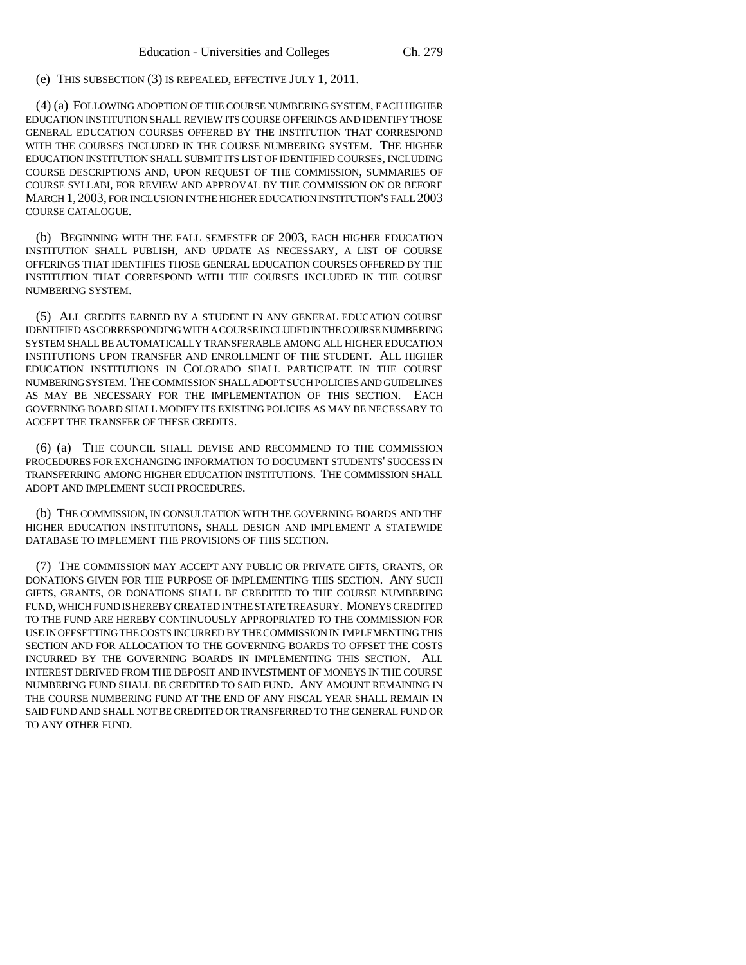(e) THIS SUBSECTION (3) IS REPEALED, EFFECTIVE JULY 1, 2011.

(4) (a) FOLLOWING ADOPTION OF THE COURSE NUMBERING SYSTEM, EACH HIGHER EDUCATION INSTITUTION SHALL REVIEW ITS COURSE OFFERINGS AND IDENTIFY THOSE GENERAL EDUCATION COURSES OFFERED BY THE INSTITUTION THAT CORRESPOND WITH THE COURSES INCLUDED IN THE COURSE NUMBERING SYSTEM. THE HIGHER EDUCATION INSTITUTION SHALL SUBMIT ITS LIST OF IDENTIFIED COURSES, INCLUDING COURSE DESCRIPTIONS AND, UPON REQUEST OF THE COMMISSION, SUMMARIES OF COURSE SYLLABI, FOR REVIEW AND APPROVAL BY THE COMMISSION ON OR BEFORE MARCH 1, 2003, FOR INCLUSION IN THE HIGHER EDUCATION INSTITUTION'S FALL 2003 COURSE CATALOGUE.

(b) BEGINNING WITH THE FALL SEMESTER OF 2003, EACH HIGHER EDUCATION INSTITUTION SHALL PUBLISH, AND UPDATE AS NECESSARY, A LIST OF COURSE OFFERINGS THAT IDENTIFIES THOSE GENERAL EDUCATION COURSES OFFERED BY THE INSTITUTION THAT CORRESPOND WITH THE COURSES INCLUDED IN THE COURSE NUMBERING SYSTEM.

(5) ALL CREDITS EARNED BY A STUDENT IN ANY GENERAL EDUCATION COURSE IDENTIFIED AS CORRESPONDING WITH A COURSE INCLUDED IN THE COURSE NUMBERING SYSTEM SHALL BE AUTOMATICALLY TRANSFERABLE AMONG ALL HIGHER EDUCATION INSTITUTIONS UPON TRANSFER AND ENROLLMENT OF THE STUDENT. ALL HIGHER EDUCATION INSTITUTIONS IN COLORADO SHALL PARTICIPATE IN THE COURSE NUMBERING SYSTEM. THE COMMISSION SHALL ADOPT SUCH POLICIES AND GUIDELINES AS MAY BE NECESSARY FOR THE IMPLEMENTATION OF THIS SECTION. EACH GOVERNING BOARD SHALL MODIFY ITS EXISTING POLICIES AS MAY BE NECESSARY TO ACCEPT THE TRANSFER OF THESE CREDITS.

(6) (a) THE COUNCIL SHALL DEVISE AND RECOMMEND TO THE COMMISSION PROCEDURES FOR EXCHANGING INFORMATION TO DOCUMENT STUDENTS' SUCCESS IN TRANSFERRING AMONG HIGHER EDUCATION INSTITUTIONS. THE COMMISSION SHALL ADOPT AND IMPLEMENT SUCH PROCEDURES.

(b) THE COMMISSION, IN CONSULTATION WITH THE GOVERNING BOARDS AND THE HIGHER EDUCATION INSTITUTIONS, SHALL DESIGN AND IMPLEMENT A STATEWIDE DATABASE TO IMPLEMENT THE PROVISIONS OF THIS SECTION.

(7) THE COMMISSION MAY ACCEPT ANY PUBLIC OR PRIVATE GIFTS, GRANTS, OR DONATIONS GIVEN FOR THE PURPOSE OF IMPLEMENTING THIS SECTION. ANY SUCH GIFTS, GRANTS, OR DONATIONS SHALL BE CREDITED TO THE COURSE NUMBERING FUND, WHICH FUND IS HEREBY CREATED IN THE STATE TREASURY. MONEYS CREDITED TO THE FUND ARE HEREBY CONTINUOUSLY APPROPRIATED TO THE COMMISSION FOR USE IN OFFSETTING THE COSTS INCURRED BY THE COMMISSION IN IMPLEMENTING THIS SECTION AND FOR ALLOCATION TO THE GOVERNING BOARDS TO OFFSET THE COSTS INCURRED BY THE GOVERNING BOARDS IN IMPLEMENTING THIS SECTION. ALL INTEREST DERIVED FROM THE DEPOSIT AND INVESTMENT OF MONEYS IN THE COURSE NUMBERING FUND SHALL BE CREDITED TO SAID FUND. ANY AMOUNT REMAINING IN THE COURSE NUMBERING FUND AT THE END OF ANY FISCAL YEAR SHALL REMAIN IN SAID FUND AND SHALL NOT BE CREDITED OR TRANSFERRED TO THE GENERAL FUND OR TO ANY OTHER FUND.